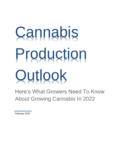# **Cannabis** Production **Outlook**

Here's What Growers Need To Know About Growing Cannabis In 2022

February 2022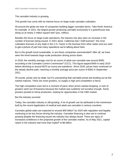The cannabis industry is growing.

This growth has come with an intense focus on large-scale cannabis cultivation.

All around the globe we hear of companies building bigger cannabis farms. Take North America for example. In 2021, the largest grower producing cannabis exclusively in a greenhouse was doing so at nearly 2 million square feet<sup>1</sup> (yes, million).

Besides the focus on large-scale operations, the industry has also seen an increase in the number of licenses being issued. In 2021 alone, California had 7,548 licenses<sup>2</sup>; the most cultivation licenses of any state in the U.S. Factor in the licenses from other states and you start to get a picture of just how many operations we're talking about here.

But is this growth trend sustainable, or are these companies overextended? After all, we have seen the trend towards large-scale production driving prices down.

In 2018, the monthly average cost for an ounce of adult-use cannabis was around \$390, according to the Cannabis Control Commission<sup>3</sup> (CCC). This figure topped \$400 in early 2019 before declining to around \$370 an ounce pre-pandemic. Since 2020, prices have continued on the steady decline path, reaching a monthly average price per ounce of \$362 in September 2021.

Of course, prices vary by state, but it's unsurprising that cannabis prices are leveling out as the market matures. There are more growers, so supply is high and competition is fierce.

The high competition even led to a moment of panic when prices started dropping. A rash of growers went out of business because the market was suddenly not lucrative enough. Some growers pivoted to hemp production, looking for opportunities in the CBD market.

But the industry survived.

Today, the cannabis industry is still growing. A lot of growth can be attributed to the momentum built by the recent legalization of medical and adult-use cannabis in various countries.

Cannabis global sales are expected to exceed \$50 billion<sup>4</sup> by 2025 with regulation and legality continuing to be key forces driving the industry. Cannabis financing is also set to continue growing despite the financing issues the industry has always faced. There are signs of increased confidence in the projected growth of the cannabis market. As of May 2021, capital raises in the industry had more than tripled<sup>5</sup> to \$6 billion.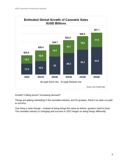

Growth? Falling prices? Increasing demand?

Things are getting interesting in the cannabis industry, and for growers, there's no clear-cut path to success.

One thing is clear though – instead of doing things the same as before, growers need to pivot. The cannabis industry is changing and success in 2022 hinges on doing things differently.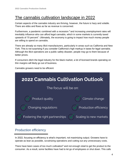# The cannabis cultivation landscape in 2022

Certain aspects of the cannabis industry are thriving, however, the future is hazy and volatile. There are ebbs and flows as far as revenue is concerned.

Furthermore, a pandemic combined with a recession  $6$  and increasing unemployment rates will inevitably influence who can afford legal cannabis, which in some markets is currently taxed upwards of 70 percent<sup>7</sup>. Ultimately, the economy is going to impact how much money people are willing to spend on cannabis.

There are already so many illicit manufacturers, particularly in areas such as California and New York. This is not surprising if you consider California's high markup in taxes for legal cannabis. Although the illicit operations are a public safety disaster, people may go to them because of better prices.

If consumers ditch the legal industry for the black market, a lot of licensed brands operating on thin margins will likely go out of business.

Cannabis growers need to be efficient



### Production efficiency

In 2022, focusing on efficiency is what's important, not maximizing output. Growers have to operate as lean as possible, scrutinizing operations and cutting out any unnecessary costs.

There have been cases of too much cultivation $8$  and not enough retail to get the product to the consumer. As a result, some facilities have had to let go of employees or shut down. This calls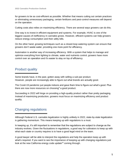for growers to be as cost-efficient as possible. Whether that means cutting out certain practices or eliminating unnecessary packaging, certain fertilizers and pest-control measures will depend on the operation.

Cutting costs also relies on maximizing efficiency. There are several ways growers can do this.

One way is to invest in efficient equipment and systems. For example, HVAC is one of the biggest causes of inefficiency in cannabis grows. However, efficient systems can help growers reduce energy consumption and their utility bills.

On the other hand, growing techniques such as a closed-loop watering system can ensure that growers don't waste water, providing one more point for efficiency.

Automation is another way of increasing efficiency. With a system that helps to manage and optimize everything from lighting to climate, water and nutrients control, growers have more control over an operation and it's easier to stay on top of efficiency.

### Product quality

Some brands have, in the past, gotten away with selling a sub-par product. However, people are increasingly able to figure out what brands are actually good.

The Covid-19 pandemic put people indoors and gave them time to figure out what's good. Plus there are now more resources on choosing $9$  a good product.

Succeeding in 2022 will hinge on providing a high-quality product rather than pretty packaging. Instead of maximizing production, growers must focus on maximizing efficiency and product quality.

### Changing regulations

Although Federal U.S. cannabis legalization is highly unlikely in 2022, state-by-state legalization is gathering momentum. This means keeping up with regulations is a must.

In keeping up, it's still important to remember that the regulations are subject to change as the industry evolves. Given the fluctuations in regulations, a good way for cultivators to keep up with what each state or country requires is to have a good legal mind on the team.

A good lawyer will be able to interpret the regulations and help the operation keep up with what's required. If you want to see the importance of keeping up with changing regulations just look at the new California energy code update<sup>10</sup> coming through.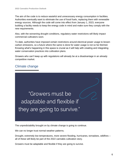The aim of the code is to reduce wasteful and unnecessary energy consumption in facilities. Authorities eventually want to eliminate the use of fossil fuels, replacing them with renewable energy sources. Although the code will come into effect from January 1, 2023, everyone building a facility needs to keep the energy code in mind and make sure they comply with the new requirements.

Also, with the worsening drought conditions, regulatory water restrictions will likely impact commercial cultivators soon.

To date, authorities have imposed certain restrictions around electrical power usage to lessen carbon emissions, so a future where the same is done for water usage is not so far-fetched. Knowing what's happening in this space is crucial as it will help with creating and integrating water conservation practices into cultivation plans.

Growers who can't keep up with regulations will already be at a disadvantage in an already competitive market.

### Climate change



The unpredictability brought on by climate change is going to continue.

We can no longer trust normal weather patterns.

Drought, extremely low temperatures, more severe flooding, hurricanes, tornadoes, wildfires – all of these will likely be part of the 2022 cannabis cultivation story.

Growers must be adaptable and flexible if they are going to survive.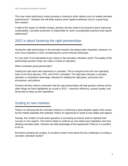This may mean switching to indoor growing or looking at other options such as sealed cannabis greenhouses<sup>11</sup>. Granted, this will likely require some capital investment, but it's a good longterm solution.

In light of the impact of climate change, growers will also need to be proactive about improving sustainability. Cannabis production is responsible for some unsustainable practices that require addressing<sup>12</sup>.

### 2022 is about fostering the right partnerships

Having the right partnerships in the cannabis industry has always been important. However, it's even more important in 2022 considering the current industry landscape.

It's very hard, if not impossible to go it alone in the cannabis cultivation world. The quality of the partnerships growers forge can make or break an operation.

What constitutes good partnerships?

Getting the right team with experience in cannabis. This is everyone from the core operating team to the local attorney, CPA, and HVAC consultant. The right team will give a cannabis operation a competitive advantage, allowing for building the right plans, processes and procedures, and policies.

Growers will also need to remember that the right partnerships will help growers achieve all the other things we have highlighted as crucial in 2022 – maximum efficiency, product quality, and being able to keep up with regulations.

### Scaling to new markets

There's no denying that the cannabis industry is continuing to grow despite supply chain issues. As the market explodes with potential, there's an opportunity to scale to new states and regions.

Already, the number of multi-state operators is increasing as brands seek to replicate their success in new regions. This trend is likely to continue as new states pass legislation and start allowing cannabis sales. Growers can take advantage of this opportunity if they're in a position to do so.

But before jumping into scaling, it's prudent to learn more about the key challenges to scaling a cannabis cultivation facility<sup>13</sup>.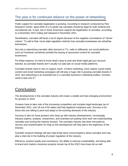## The year is for continued reliance on the power of networking

Public support for cannabis legalization is growing. According to research conducted by Pew Research Center, about 60% of U.S adults say cannabis should be legal for both medical and recreational use. In fact, two in three Americans support the legalization of cannabis, according to a November 2021 Gallup poll released in November 2021.

Nonetheless, cannabis still faces a lot of stigma because of the negative connotations of "stoner culture." To add to that, much state regulation restricts how cannabis businesses can advertise themselves.

Not only is advertising cannabis often banned on TV, radio or billboards, but social platforms such as Facebook sometimes prohibit the buying of sponsored content for cannabis businesses.

For these reasons, it's hard to know what's okay to post and what might get your account banned, so cannabis brands don't usually run paid ads on social media platforms.

Cannabis brands have to rely on organic reach. Content marketing, more organic social media content and email marketing campaigns will still play a huge role in growing cannabis brands in 2022. But networking is an essential tool in a cannabis business's marketing toolbox. Growers need to lean into it<sup>14</sup>.

# **Conclusion**

The developments in the cannabis industry will create a volatile and fast-changing environment for growers in 2022.

Growers have to take note of the increasing competition and complex legal landscape (as of December 2021, only 18 out of 50 states had fully legalized marijuana use). Success is for those who are willing to pivot and adapt to the evolving demands of the industry.

Success is also for those growers who keep up with industry developments. Increasingly, industry experts, analysts, researchers, and scientists are putting more work into understanding cannabis and moving the industry forward. The cannabis industry has been shrouded by secrecy and misinformation for long so this development will help add to the legitimacy of the industry.

Scientific research findings will also help break down misconceptions about cannabis and may play a vital role in the building of proper regulation of the industry.

Efficiency, product quality and consistency, the ability to improve sustainability, and being able to brand and market a business properly remain top of the 2022 must-have list as well.